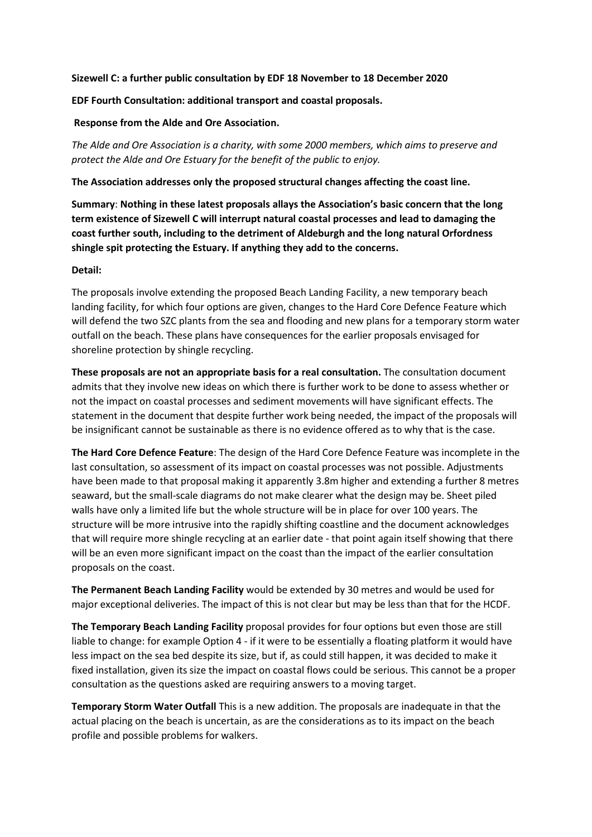## Sizewell C: a further public consultation by EDF 18 November to 18 December 2020

## EDF Fourth Consultation: additional transport and coastal proposals.

## Response from the Alde and Ore Association.

The Alde and Ore Association is a charity, with some 2000 members, which aims to preserve and protect the Alde and Ore Estuary for the benefit of the public to enjoy.

The Association addresses only the proposed structural changes affecting the coast line.

Summary: Nothing in these latest proposals allays the Association's basic concern that the long term existence of Sizewell C will interrupt natural coastal processes and lead to damaging the coast further south, including to the detriment of Aldeburgh and the long natural Orfordness shingle spit protecting the Estuary. If anything they add to the concerns.

## Detail:

The proposals involve extending the proposed Beach Landing Facility, a new temporary beach landing facility, for which four options are given, changes to the Hard Core Defence Feature which will defend the two SZC plants from the sea and flooding and new plans for a temporary storm water outfall on the beach. These plans have consequences for the earlier proposals envisaged for shoreline protection by shingle recycling.

These proposals are not an appropriate basis for a real consultation. The consultation document admits that they involve new ideas on which there is further work to be done to assess whether or not the impact on coastal processes and sediment movements will have significant effects. The statement in the document that despite further work being needed, the impact of the proposals will be insignificant cannot be sustainable as there is no evidence offered as to why that is the case.

The Hard Core Defence Feature: The design of the Hard Core Defence Feature was incomplete in the last consultation, so assessment of its impact on coastal processes was not possible. Adjustments have been made to that proposal making it apparently 3.8m higher and extending a further 8 metres seaward, but the small-scale diagrams do not make clearer what the design may be. Sheet piled walls have only a limited life but the whole structure will be in place for over 100 years. The structure will be more intrusive into the rapidly shifting coastline and the document acknowledges that will require more shingle recycling at an earlier date - that point again itself showing that there will be an even more significant impact on the coast than the impact of the earlier consultation proposals on the coast.

The Permanent Beach Landing Facility would be extended by 30 metres and would be used for major exceptional deliveries. The impact of this is not clear but may be less than that for the HCDF.

The Temporary Beach Landing Facility proposal provides for four options but even those are still liable to change: for example Option 4 - if it were to be essentially a floating platform it would have less impact on the sea bed despite its size, but if, as could still happen, it was decided to make it fixed installation, given its size the impact on coastal flows could be serious. This cannot be a proper consultation as the questions asked are requiring answers to a moving target.

Temporary Storm Water Outfall This is a new addition. The proposals are inadequate in that the actual placing on the beach is uncertain, as are the considerations as to its impact on the beach profile and possible problems for walkers.